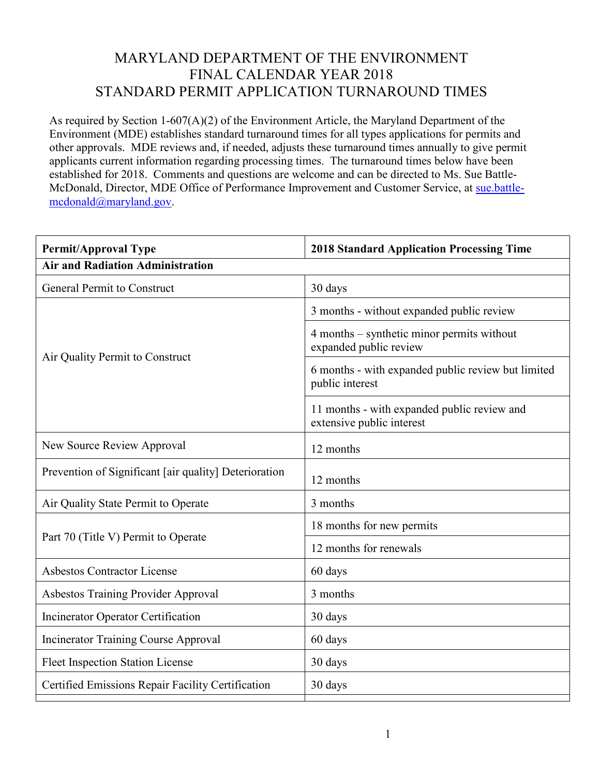## MARYLAND DEPARTMENT OF THE ENVIRONMENT FINAL CALENDAR YEAR 2018 STANDARD PERMIT APPLICATION TURNAROUND TIMES

As required by Section 1-607(A)(2) of the Environment Article, the Maryland Department of the Environment (MDE) establishes standard turnaround times for all types applications for permits and other approvals. MDE reviews and, if needed, adjusts these turnaround times annually to give permit applicants current information regarding processing times. The turnaround times below have been established for 2018. Comments and questions are welcome and can be directed to Ms. Sue Battle-McDonald, Director, MDE Office of Performance Improvement and Customer Service, at [sue.battle](mailto:sue.battle-mcdonald@maryland.gov)[mcdonald@maryland.gov.](mailto:sue.battle-mcdonald@maryland.gov)

| <b>Permit/Approval Type</b>                           | <b>2018 Standard Application Processing Time</b>                         |  |
|-------------------------------------------------------|--------------------------------------------------------------------------|--|
| <b>Air and Radiation Administration</b>               |                                                                          |  |
| <b>General Permit to Construct</b>                    | 30 days                                                                  |  |
| Air Quality Permit to Construct                       | 3 months - without expanded public review                                |  |
|                                                       | 4 months – synthetic minor permits without<br>expanded public review     |  |
|                                                       | 6 months - with expanded public review but limited<br>public interest    |  |
|                                                       | 11 months - with expanded public review and<br>extensive public interest |  |
| New Source Review Approval                            | 12 months                                                                |  |
| Prevention of Significant [air quality] Deterioration | 12 months                                                                |  |
| Air Quality State Permit to Operate                   | 3 months                                                                 |  |
| Part 70 (Title V) Permit to Operate                   | 18 months for new permits                                                |  |
|                                                       | 12 months for renewals                                                   |  |
| <b>Asbestos Contractor License</b>                    | 60 days                                                                  |  |
| Asbestos Training Provider Approval                   | 3 months                                                                 |  |
| <b>Incinerator Operator Certification</b>             | 30 days                                                                  |  |
| <b>Incinerator Training Course Approval</b>           | 60 days                                                                  |  |
| <b>Fleet Inspection Station License</b>               | 30 days                                                                  |  |
| Certified Emissions Repair Facility Certification     | 30 days                                                                  |  |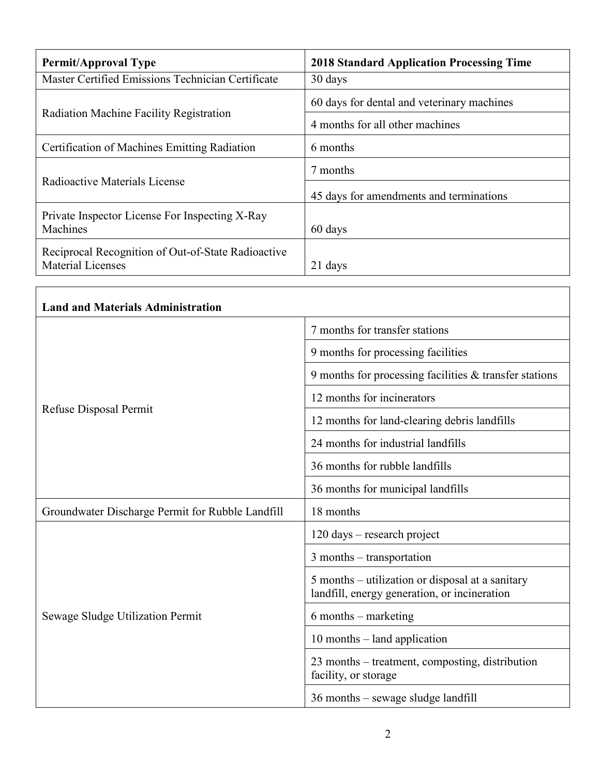| <b>Permit/Approval Type</b>                                                    | <b>2018 Standard Application Processing Time</b> |
|--------------------------------------------------------------------------------|--------------------------------------------------|
| Master Certified Emissions Technician Certificate                              | 30 days                                          |
| Radiation Machine Facility Registration                                        | 60 days for dental and veterinary machines       |
|                                                                                | 4 months for all other machines                  |
| Certification of Machines Emitting Radiation                                   | 6 months                                         |
| Radioactive Materials License                                                  | 7 months                                         |
|                                                                                | 45 days for amendments and terminations          |
| Private Inspector License For Inspecting X-Ray<br><b>Machines</b>              | 60 days                                          |
| Reciprocal Recognition of Out-of-State Radioactive<br><b>Material Licenses</b> | 21 days                                          |

| <b>Land and Materials Administration</b>         |                                                                                                  |
|--------------------------------------------------|--------------------------------------------------------------------------------------------------|
| Refuse Disposal Permit                           | 7 months for transfer stations                                                                   |
|                                                  | 9 months for processing facilities                                                               |
|                                                  | 9 months for processing facilities & transfer stations                                           |
|                                                  | 12 months for incinerators                                                                       |
|                                                  | 12 months for land-clearing debris landfills                                                     |
|                                                  | 24 months for industrial landfills                                                               |
|                                                  | 36 months for rubble landfills                                                                   |
|                                                  | 36 months for municipal landfills                                                                |
| Groundwater Discharge Permit for Rubble Landfill | 18 months                                                                                        |
| Sewage Sludge Utilization Permit                 | $120 \text{ days}$ – research project                                                            |
|                                                  | $3$ months – transportation                                                                      |
|                                                  | 5 months – utilization or disposal at a sanitary<br>landfill, energy generation, or incineration |
|                                                  | $6$ months – marketing                                                                           |
|                                                  | 10 months – land application                                                                     |
|                                                  | 23 months – treatment, composting, distribution<br>facility, or storage                          |
|                                                  | 36 months – sewage sludge landfill                                                               |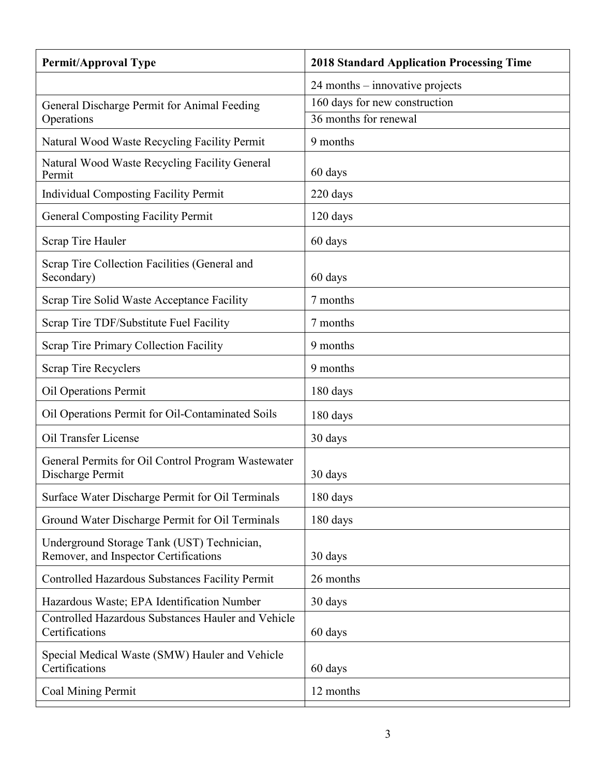| <b>Permit/Approval Type</b>                                                         | <b>2018 Standard Application Processing Time</b> |
|-------------------------------------------------------------------------------------|--------------------------------------------------|
|                                                                                     | $24$ months – innovative projects                |
| General Discharge Permit for Animal Feeding                                         | 160 days for new construction                    |
| Operations                                                                          | 36 months for renewal                            |
| Natural Wood Waste Recycling Facility Permit                                        | 9 months                                         |
| Natural Wood Waste Recycling Facility General<br>Permit                             | 60 days                                          |
| <b>Individual Composting Facility Permit</b>                                        | 220 days                                         |
| <b>General Composting Facility Permit</b>                                           | $120$ days                                       |
| Scrap Tire Hauler                                                                   | 60 days                                          |
| Scrap Tire Collection Facilities (General and<br>Secondary)                         | 60 days                                          |
| Scrap Tire Solid Waste Acceptance Facility                                          | 7 months                                         |
| Scrap Tire TDF/Substitute Fuel Facility                                             | 7 months                                         |
| Scrap Tire Primary Collection Facility                                              | 9 months                                         |
| Scrap Tire Recyclers                                                                | 9 months                                         |
| Oil Operations Permit                                                               | 180 days                                         |
| Oil Operations Permit for Oil-Contaminated Soils                                    | 180 days                                         |
| Oil Transfer License                                                                | 30 days                                          |
| General Permits for Oil Control Program Wastewater<br>Discharge Permit              | 30 days                                          |
| Surface Water Discharge Permit for Oil Terminals                                    | 180 days                                         |
| Ground Water Discharge Permit for Oil Terminals                                     | 180 days                                         |
| Underground Storage Tank (UST) Technician,<br>Remover, and Inspector Certifications | 30 days                                          |
| Controlled Hazardous Substances Facility Permit                                     | 26 months                                        |
| Hazardous Waste; EPA Identification Number                                          | 30 days                                          |
| Controlled Hazardous Substances Hauler and Vehicle<br>Certifications                | 60 days                                          |
| Special Medical Waste (SMW) Hauler and Vehicle<br>Certifications                    | 60 days                                          |
| Coal Mining Permit                                                                  | 12 months                                        |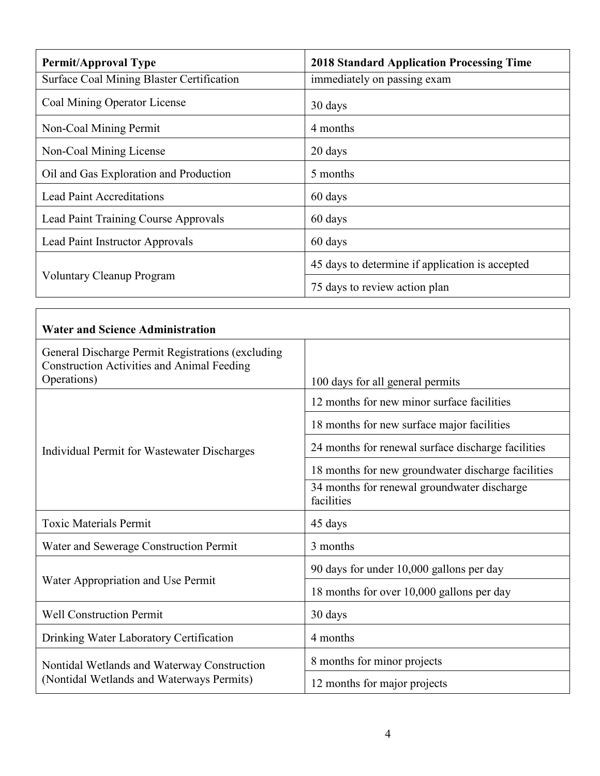| <b>Permit/Approval Type</b>               | <b>2018 Standard Application Processing Time</b> |
|-------------------------------------------|--------------------------------------------------|
| Surface Coal Mining Blaster Certification | immediately on passing exam                      |
| Coal Mining Operator License              | 30 days                                          |
| Non-Coal Mining Permit                    | 4 months                                         |
| Non-Coal Mining License                   | 20 days                                          |
| Oil and Gas Exploration and Production    | 5 months                                         |
| <b>Lead Paint Accreditations</b>          | 60 days                                          |
| Lead Paint Training Course Approvals      | 60 days                                          |
| Lead Paint Instructor Approvals           | 60 days                                          |
| <b>Voluntary Cleanup Program</b>          | 45 days to determine if application is accepted  |
|                                           | 75 days to review action plan                    |

Г

| <b>Water and Science Administration</b>                                                                |                                                           |
|--------------------------------------------------------------------------------------------------------|-----------------------------------------------------------|
| General Discharge Permit Registrations (excluding<br><b>Construction Activities and Animal Feeding</b> |                                                           |
| Operations)                                                                                            | 100 days for all general permits                          |
| Individual Permit for Wastewater Discharges                                                            | 12 months for new minor surface facilities                |
|                                                                                                        | 18 months for new surface major facilities                |
|                                                                                                        | 24 months for renewal surface discharge facilities        |
|                                                                                                        | 18 months for new groundwater discharge facilities        |
|                                                                                                        | 34 months for renewal groundwater discharge<br>facilities |
| <b>Toxic Materials Permit</b>                                                                          | 45 days                                                   |
| Water and Sewerage Construction Permit                                                                 | 3 months                                                  |
| Water Appropriation and Use Permit                                                                     | 90 days for under 10,000 gallons per day                  |
|                                                                                                        | 18 months for over 10,000 gallons per day                 |
| <b>Well Construction Permit</b>                                                                        | 30 days                                                   |
| Drinking Water Laboratory Certification                                                                | 4 months                                                  |
| Nontidal Wetlands and Waterway Construction<br>(Nontidal Wetlands and Waterways Permits)               | 8 months for minor projects                               |
|                                                                                                        | 12 months for major projects                              |